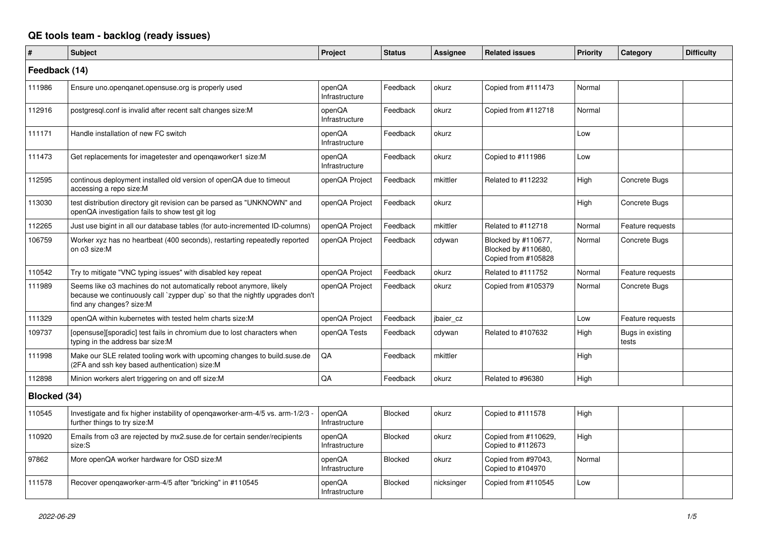## **QE tools team - backlog (ready issues)**

| $\sharp$      | <b>Subject</b>                                                                                                                                                                 | Project                  | <b>Status</b>  | Assignee   | <b>Related issues</b>                                             | Priority | Category                  | <b>Difficulty</b> |
|---------------|--------------------------------------------------------------------------------------------------------------------------------------------------------------------------------|--------------------------|----------------|------------|-------------------------------------------------------------------|----------|---------------------------|-------------------|
| Feedback (14) |                                                                                                                                                                                |                          |                |            |                                                                   |          |                           |                   |
| 111986        | Ensure uno.openqanet.opensuse.org is properly used                                                                                                                             | openQA<br>Infrastructure | Feedback       | okurz      | Copied from #111473                                               | Normal   |                           |                   |
| 112916        | postgresql.conf is invalid after recent salt changes size:M                                                                                                                    | openQA<br>Infrastructure | Feedback       | okurz      | Copied from #112718                                               | Normal   |                           |                   |
| 111171        | Handle installation of new FC switch                                                                                                                                           | openQA<br>Infrastructure | Feedback       | okurz      |                                                                   | Low      |                           |                   |
| 111473        | Get replacements for imagetester and opengaworker1 size:M                                                                                                                      | openQA<br>Infrastructure | Feedback       | okurz      | Copied to #111986                                                 | Low      |                           |                   |
| 112595        | continous deployment installed old version of openQA due to timeout<br>accessing a repo size:M                                                                                 | openQA Project           | Feedback       | mkittler   | Related to #112232                                                | High     | Concrete Bugs             |                   |
| 113030        | test distribution directory git revision can be parsed as "UNKNOWN" and<br>openQA investigation fails to show test git log                                                     | openQA Project           | Feedback       | okurz      |                                                                   | High     | Concrete Bugs             |                   |
| 112265        | Just use bigint in all our database tables (for auto-incremented ID-columns)                                                                                                   | openQA Project           | Feedback       | mkittler   | Related to #112718                                                | Normal   | Feature requests          |                   |
| 106759        | Worker xyz has no heartbeat (400 seconds), restarting repeatedly reported<br>on o3 size:M                                                                                      | openQA Project           | Feedback       | cdywan     | Blocked by #110677,<br>Blocked by #110680,<br>Copied from #105828 | Normal   | Concrete Bugs             |                   |
| 110542        | Try to mitigate "VNC typing issues" with disabled key repeat                                                                                                                   | openQA Project           | Feedback       | okurz      | Related to #111752                                                | Normal   | Feature requests          |                   |
| 111989        | Seems like o3 machines do not automatically reboot anymore, likely<br>because we continuously call `zypper dup` so that the nightly upgrades don't<br>find any changes? size:M | openQA Project           | Feedback       | okurz      | Copied from #105379                                               | Normal   | Concrete Bugs             |                   |
| 111329        | openQA within kubernetes with tested helm charts size:M                                                                                                                        | openQA Project           | Feedback       | jbaier cz  |                                                                   | Low      | Feature requests          |                   |
| 109737        | [opensuse][sporadic] test fails in chromium due to lost characters when<br>typing in the address bar size:M                                                                    | openQA Tests             | Feedback       | cdywan     | Related to #107632                                                | High     | Bugs in existing<br>tests |                   |
| 111998        | Make our SLE related tooling work with upcoming changes to build.suse.de<br>(2FA and ssh key based authentication) size:M                                                      | QA                       | Feedback       | mkittler   |                                                                   | High     |                           |                   |
| 112898        | Minion workers alert triggering on and off size:M                                                                                                                              | QA                       | Feedback       | okurz      | Related to #96380                                                 | High     |                           |                   |
| Blocked (34)  |                                                                                                                                                                                |                          |                |            |                                                                   |          |                           |                   |
| 110545        | Investigate and fix higher instability of opengaworker-arm-4/5 vs. arm-1/2/3 -<br>further things to try size:M                                                                 | openQA<br>Infrastructure | <b>Blocked</b> | okurz      | Copied to #111578                                                 | High     |                           |                   |
| 110920        | Emails from o3 are rejected by mx2.suse.de for certain sender/recipients<br>size:S                                                                                             | openQA<br>Infrastructure | Blocked        | okurz      | Copied from #110629,<br>Copied to #112673                         | High     |                           |                   |
| 97862         | More openQA worker hardware for OSD size:M                                                                                                                                     | openQA<br>Infrastructure | <b>Blocked</b> | okurz      | Copied from #97043,<br>Copied to #104970                          | Normal   |                           |                   |
| 111578        | Recover opengaworker-arm-4/5 after "bricking" in #110545                                                                                                                       | openQA<br>Infrastructure | Blocked        | nicksinger | Copied from #110545                                               | Low      |                           |                   |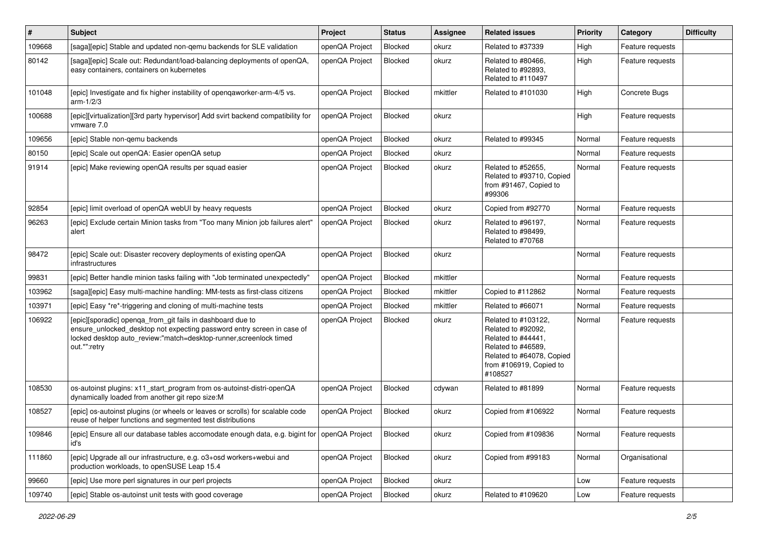| $\vert$ # | <b>Subject</b>                                                                                                                                                                                                            | Project        | <b>Status</b>  | <b>Assignee</b> | <b>Related issues</b>                                                                                                                                    | <b>Priority</b> | Category         | <b>Difficulty</b> |
|-----------|---------------------------------------------------------------------------------------------------------------------------------------------------------------------------------------------------------------------------|----------------|----------------|-----------------|----------------------------------------------------------------------------------------------------------------------------------------------------------|-----------------|------------------|-------------------|
| 109668    | [saga][epic] Stable and updated non-gemu backends for SLE validation                                                                                                                                                      | openQA Project | Blocked        | okurz           | Related to #37339                                                                                                                                        | High            | Feature requests |                   |
| 80142     | [saga][epic] Scale out: Redundant/load-balancing deployments of openQA,<br>easy containers, containers on kubernetes                                                                                                      | openQA Project | Blocked        | okurz           | Related to #80466,<br>Related to #92893,<br>Related to #110497                                                                                           | High            | Feature requests |                   |
| 101048    | [epic] Investigate and fix higher instability of openqaworker-arm-4/5 vs.<br>$arm-1/2/3$                                                                                                                                  | openQA Project | Blocked        | mkittler        | Related to #101030                                                                                                                                       | High            | Concrete Bugs    |                   |
| 100688    | [epic][virtualization][3rd party hypervisor] Add svirt backend compatibility for<br>vmware 7.0                                                                                                                            | openQA Project | Blocked        | okurz           |                                                                                                                                                          | High            | Feature requests |                   |
| 109656    | [epic] Stable non-gemu backends                                                                                                                                                                                           | openQA Project | Blocked        | okurz           | Related to #99345                                                                                                                                        | Normal          | Feature requests |                   |
| 80150     | [epic] Scale out openQA: Easier openQA setup                                                                                                                                                                              | openQA Project | <b>Blocked</b> | okurz           |                                                                                                                                                          | Normal          | Feature requests |                   |
| 91914     | [epic] Make reviewing openQA results per squad easier                                                                                                                                                                     | openQA Project | Blocked        | okurz           | Related to #52655,<br>Related to #93710, Copied<br>from #91467, Copied to<br>#99306                                                                      | Normal          | Feature requests |                   |
| 92854     | [epic] limit overload of openQA webUI by heavy requests                                                                                                                                                                   | openQA Project | Blocked        | okurz           | Copied from #92770                                                                                                                                       | Normal          | Feature requests |                   |
| 96263     | [epic] Exclude certain Minion tasks from "Too many Minion job failures alert"<br>alert                                                                                                                                    | openQA Project | Blocked        | okurz           | Related to #96197.<br>Related to #98499,<br>Related to #70768                                                                                            | Normal          | Feature requests |                   |
| 98472     | [epic] Scale out: Disaster recovery deployments of existing openQA<br><i>infrastructures</i>                                                                                                                              | openQA Project | Blocked        | okurz           |                                                                                                                                                          | Normal          | Feature requests |                   |
| 99831     | [epic] Better handle minion tasks failing with "Job terminated unexpectedly"                                                                                                                                              | openQA Project | Blocked        | mkittler        |                                                                                                                                                          | Normal          | Feature requests |                   |
| 103962    | [saga][epic] Easy multi-machine handling: MM-tests as first-class citizens                                                                                                                                                | openQA Project | Blocked        | mkittler        | Copied to #112862                                                                                                                                        | Normal          | Feature requests |                   |
| 103971    | [epic] Easy *re*-triggering and cloning of multi-machine tests                                                                                                                                                            | openQA Project | Blocked        | mkittler        | Related to #66071                                                                                                                                        | Normal          | Feature requests |                   |
| 106922    | [epic][sporadic] openqa_from_git fails in dashboard due to<br>ensure_unlocked_desktop not expecting password entry screen in case of<br>locked desktop auto_review:"match=desktop-runner,screenlock timed<br>out.*":retry | openQA Project | Blocked        | okurz           | Related to #103122,<br>Related to #92092,<br>Related to #44441,<br>Related to #46589,<br>Related to #64078, Copied<br>from #106919, Copied to<br>#108527 | Normal          | Feature requests |                   |
| 108530    | os-autoinst plugins: x11_start_program from os-autoinst-distri-openQA<br>dynamically loaded from another git repo size:M                                                                                                  | openQA Project | Blocked        | cdywan          | Related to #81899                                                                                                                                        | Normal          | Feature requests |                   |
| 108527    | [epic] os-autoinst plugins (or wheels or leaves or scrolls) for scalable code<br>reuse of helper functions and segmented test distributions                                                                               | openQA Project | Blocked        | okurz           | Copied from #106922                                                                                                                                      | Normal          | Feature requests |                   |
| 109846    | [epic] Ensure all our database tables accomodate enough data, e.g. bigint for openQA Project<br>id's                                                                                                                      |                | Blocked        | okurz           | Copied from #109836                                                                                                                                      | Normal          | Feature requests |                   |
| 111860    | [epic] Upgrade all our infrastructure, e.g. o3+osd workers+webui and<br>production workloads, to openSUSE Leap 15.4                                                                                                       | openQA Project | Blocked        | okurz           | Copied from #99183                                                                                                                                       | Normal          | Organisational   |                   |
| 99660     | [epic] Use more perl signatures in our perl projects                                                                                                                                                                      | openQA Project | Blocked        | okurz           |                                                                                                                                                          | Low             | Feature requests |                   |
| 109740    | [epic] Stable os-autoinst unit tests with good coverage                                                                                                                                                                   | openQA Project | Blocked        | okurz           | Related to #109620                                                                                                                                       | Low             | Feature requests |                   |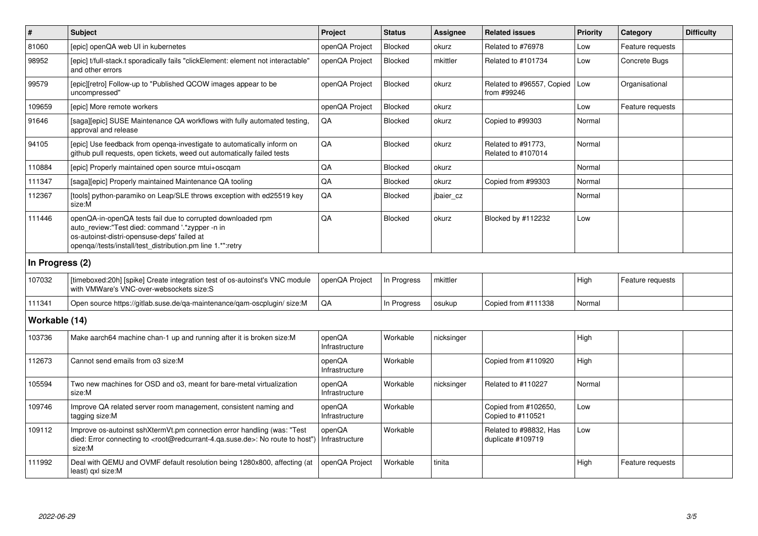| $\#$            | <b>Subject</b>                                                                                                                                                                                                              | <b>Project</b>           | <b>Status</b>  | Assignee   | <b>Related issues</b>                       | Priority | Category         | <b>Difficulty</b> |
|-----------------|-----------------------------------------------------------------------------------------------------------------------------------------------------------------------------------------------------------------------------|--------------------------|----------------|------------|---------------------------------------------|----------|------------------|-------------------|
| 81060           | [epic] openQA web UI in kubernetes                                                                                                                                                                                          | openQA Project           | <b>Blocked</b> | okurz      | Related to #76978                           | Low      | Feature requests |                   |
| 98952           | [epic] t/full-stack.t sporadically fails "clickElement: element not interactable"<br>and other errors                                                                                                                       | openQA Project           | <b>Blocked</b> | mkittler   | Related to #101734                          | Low      | Concrete Bugs    |                   |
| 99579           | [epic][retro] Follow-up to "Published QCOW images appear to be<br>uncompressed"                                                                                                                                             | openQA Project           | <b>Blocked</b> | okurz      | Related to #96557, Copied<br>from #99246    | Low      | Organisational   |                   |
| 109659          | [epic] More remote workers                                                                                                                                                                                                  | openQA Project           | Blocked        | okurz      |                                             | Low      | Feature requests |                   |
| 91646           | [saga][epic] SUSE Maintenance QA workflows with fully automated testing,<br>approval and release                                                                                                                            | QA                       | <b>Blocked</b> | okurz      | Copied to #99303                            | Normal   |                  |                   |
| 94105           | [epic] Use feedback from openga-investigate to automatically inform on<br>github pull requests, open tickets, weed out automatically failed tests                                                                           | QA                       | <b>Blocked</b> | okurz      | Related to #91773,<br>Related to #107014    | Normal   |                  |                   |
| 110884          | [epic] Properly maintained open source mtui+oscgam                                                                                                                                                                          | QA                       | <b>Blocked</b> | okurz      |                                             | Normal   |                  |                   |
| 111347          | [saga][epic] Properly maintained Maintenance QA tooling                                                                                                                                                                     | QA                       | <b>Blocked</b> | okurz      | Copied from #99303                          | Normal   |                  |                   |
| 112367          | [tools] python-paramiko on Leap/SLE throws exception with ed25519 key<br>size:M                                                                                                                                             | QA                       | <b>Blocked</b> | jbaier_cz  |                                             | Normal   |                  |                   |
| 111446          | openQA-in-openQA tests fail due to corrupted downloaded rpm<br>auto review:"Test died: command '.*zypper -n in<br>os-autoinst-distri-opensuse-deps' failed at<br>openga//tests/install/test distribution.pm line 1.*":retry | QA                       | <b>Blocked</b> | okurz      | Blocked by #112232                          | Low      |                  |                   |
| In Progress (2) |                                                                                                                                                                                                                             |                          |                |            |                                             |          |                  |                   |
| 107032          | [timeboxed:20h] [spike] Create integration test of os-autoinst's VNC module<br>with VMWare's VNC-over-websockets size:S                                                                                                     | openQA Project           | In Progress    | mkittler   |                                             | High     | Feature requests |                   |
| 111341          | Open source https://gitlab.suse.de/qa-maintenance/qam-oscplugin/ size:M                                                                                                                                                     | QA                       | In Progress    | osukup     | Copied from #111338                         | Normal   |                  |                   |
| Workable (14)   |                                                                                                                                                                                                                             |                          |                |            |                                             |          |                  |                   |
| 103736          | Make aarch64 machine chan-1 up and running after it is broken size:M                                                                                                                                                        | openQA<br>Infrastructure | Workable       | nicksinger |                                             | High     |                  |                   |
| 112673          | Cannot send emails from o3 size:M                                                                                                                                                                                           | openQA<br>Infrastructure | Workable       |            | Copied from #110920                         | High     |                  |                   |
| 105594          | Two new machines for OSD and o3, meant for bare-metal virtualization<br>size:M                                                                                                                                              | openQA<br>Infrastructure | Workable       | nicksinger | Related to #110227                          | Normal   |                  |                   |
| 109746          | Improve QA related server room management, consistent naming and<br>tagging size:M                                                                                                                                          | openQA<br>Infrastructure | Workable       |            | Copied from #102650,<br>Copied to #110521   | Low      |                  |                   |
| 109112          | Improve os-autoinst sshXtermVt.pm connection error handling (was: "Test<br>died: Error connecting to <root@redcurrant-4.ga.suse.de>: No route to host")<br/>size:M</root@redcurrant-4.ga.suse.de>                           | openQA<br>Infrastructure | Workable       |            | Related to #98832, Has<br>duplicate #109719 | Low      |                  |                   |
| 111992          | Deal with QEMU and OVMF default resolution being 1280x800, affecting (at<br>least) gxl size:M                                                                                                                               | openQA Project           | Workable       | tinita     |                                             | High     | Feature requests |                   |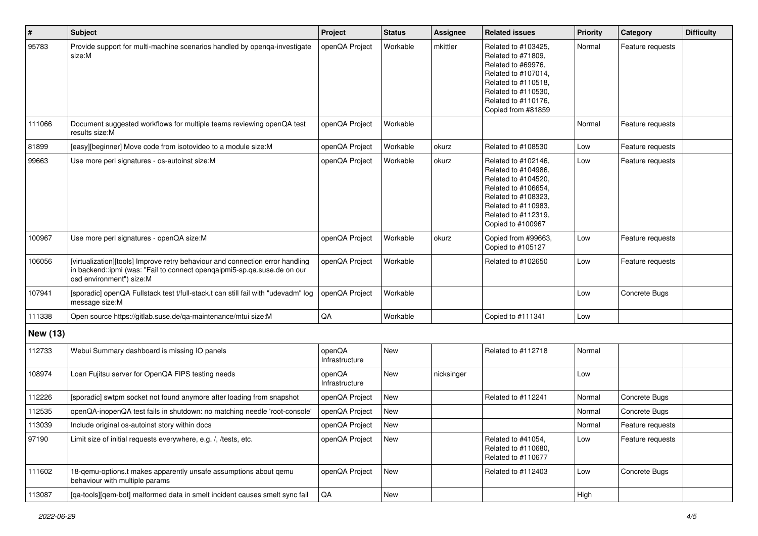| $\vert$ # | <b>Subject</b>                                                                                                                                                                        | Project                  | <b>Status</b> | <b>Assignee</b> | <b>Related issues</b>                                                                                                                                                              | <b>Priority</b> | Category         | <b>Difficulty</b> |
|-----------|---------------------------------------------------------------------------------------------------------------------------------------------------------------------------------------|--------------------------|---------------|-----------------|------------------------------------------------------------------------------------------------------------------------------------------------------------------------------------|-----------------|------------------|-------------------|
| 95783     | Provide support for multi-machine scenarios handled by openga-investigate<br>size:M                                                                                                   | openQA Project           | Workable      | mkittler        | Related to #103425,<br>Related to #71809,<br>Related to #69976,<br>Related to #107014,<br>Related to #110518,<br>Related to #110530,<br>Related to #110176,<br>Copied from #81859  | Normal          | Feature requests |                   |
| 111066    | Document suggested workflows for multiple teams reviewing openQA test<br>results size:M                                                                                               | openQA Project           | Workable      |                 |                                                                                                                                                                                    | Normal          | Feature requests |                   |
| 81899     | [easy][beginner] Move code from isotovideo to a module size:M                                                                                                                         | openQA Project           | Workable      | okurz           | Related to #108530                                                                                                                                                                 | Low             | Feature requests |                   |
| 99663     | Use more perl signatures - os-autoinst size:M                                                                                                                                         | openQA Project           | Workable      | okurz           | Related to #102146,<br>Related to #104986,<br>Related to #104520,<br>Related to #106654,<br>Related to #108323,<br>Related to #110983,<br>Related to #112319,<br>Copied to #100967 | Low             | Feature requests |                   |
| 100967    | Use more perl signatures - openQA size:M                                                                                                                                              | openQA Project           | Workable      | okurz           | Copied from #99663,<br>Copied to #105127                                                                                                                                           | Low             | Feature requests |                   |
| 106056    | [virtualization][tools] Improve retry behaviour and connection error handling<br>in backend::ipmi (was: "Fail to connect openqaipmi5-sp.qa.suse.de on our<br>osd environment") size:M | openQA Project           | Workable      |                 | Related to #102650                                                                                                                                                                 | Low             | Feature requests |                   |
| 107941    | [sporadic] openQA Fullstack test t/full-stack.t can still fail with "udevadm" log<br>message size:M                                                                                   | openQA Project           | Workable      |                 |                                                                                                                                                                                    | Low             | Concrete Bugs    |                   |
| 111338    | Open source https://gitlab.suse.de/qa-maintenance/mtui size:M                                                                                                                         | QA                       | Workable      |                 | Copied to #111341                                                                                                                                                                  | Low             |                  |                   |
| New (13)  |                                                                                                                                                                                       |                          |               |                 |                                                                                                                                                                                    |                 |                  |                   |
| 112733    | Webui Summary dashboard is missing IO panels                                                                                                                                          | openQA<br>Infrastructure | <b>New</b>    |                 | Related to #112718                                                                                                                                                                 | Normal          |                  |                   |
| 108974    | Loan Fujitsu server for OpenQA FIPS testing needs                                                                                                                                     | openQA<br>Infrastructure | <b>New</b>    | nicksinger      |                                                                                                                                                                                    | Low             |                  |                   |
| 112226    | [sporadic] swtpm socket not found anymore after loading from snapshot                                                                                                                 | openQA Project           | New           |                 | Related to #112241                                                                                                                                                                 | Normal          | Concrete Bugs    |                   |
| 112535    | openQA-inopenQA test fails in shutdown: no matching needle 'root-console'                                                                                                             | openQA Project           | New           |                 |                                                                                                                                                                                    | Normal          | Concrete Bugs    |                   |
| 113039    | Include original os-autoinst story within docs                                                                                                                                        | openQA Project           | New           |                 |                                                                                                                                                                                    | Normal          | Feature requests |                   |
| 97190     | Limit size of initial requests everywhere, e.g. /, /tests, etc.                                                                                                                       | openQA Project           | New           |                 | Related to #41054,<br>Related to #110680,<br>Related to #110677                                                                                                                    | Low             | Feature requests |                   |
| 111602    | 18-qemu-options.t makes apparently unsafe assumptions about qemu<br>behaviour with multiple params                                                                                    | openQA Project           | New           |                 | Related to #112403                                                                                                                                                                 | Low             | Concrete Bugs    |                   |
| 113087    | [qa-tools][qem-bot] malformed data in smelt incident causes smelt sync fail                                                                                                           | QA                       | New           |                 |                                                                                                                                                                                    | High            |                  |                   |